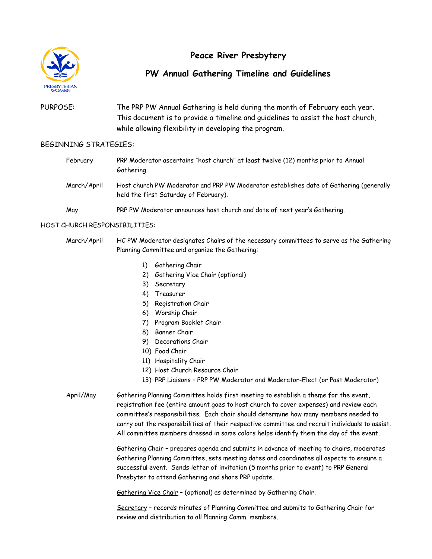

# **Peace River Presbytery**

## **PW Annual Gathering Timeline and Guidelines**

## PURPOSE: The PRP PW Annual Gathering is held during the month of February each year. This document is to provide a timeline and guidelines to assist the host church, while allowing flexibility in developing the program.

#### BEGINNING STRATEGIES:

| February    | PRP Moderator ascertains "host church" at least twelve (12) months prior to Annual<br>Gathering.                                |
|-------------|---------------------------------------------------------------------------------------------------------------------------------|
| March/April | Host church PW Moderator and PRP PW Moderator establishes date of Gathering (generally<br>held the first Saturday of February). |

May PRP PW Moderator announces host church and date of next year's Gathering.

#### HOST CHURCH RESPONSIBILITIES:

- March/April HC PW Moderator designates Chairs of the necessary committees to serve as the Gathering Planning Committee and organize the Gathering:
	- 1) Gathering Chair
	- 2) Gathering Vice Chair (optional)
	- 3) Secretary
	- 4) Treasurer
	- 5) Registration Chair
	- 6) Worship Chair
	- 7) Program Booklet Chair
	- 8) Banner Chair
	- 9) Decorations Chair
	- 10) Food Chair
	- 11) Hospitality Chair
	- 12) Host Church Resource Chair
	- 13) PRP Liaisons PRP PW Moderator and Moderator-Elect (or Past Moderator)
- April/May Gathering Planning Committee holds first meeting to establish a theme for the event, registration fee (entire amount goes to host church to cover expenses) and review each committee's responsibilities. Each chair should determine how many members needed to carry out the responsibilities of their respective committee and recruit individuals to assist. All committee members dressed in same colors helps identify them the day of the event.

Gathering Chair – prepares agenda and submits in advance of meeting to chairs, moderates Gathering Planning Committee, sets meeting dates and coordinates all aspects to ensure a successful event. Sends letter of invitation (5 months prior to event) to PRP General Presbyter to attend Gathering and share PRP update.

Gathering Vice Chair – (optional) as determined by Gathering Chair.

Secretary – records minutes of Planning Committee and submits to Gathering Chair for review and distribution to all Planning Comm. members.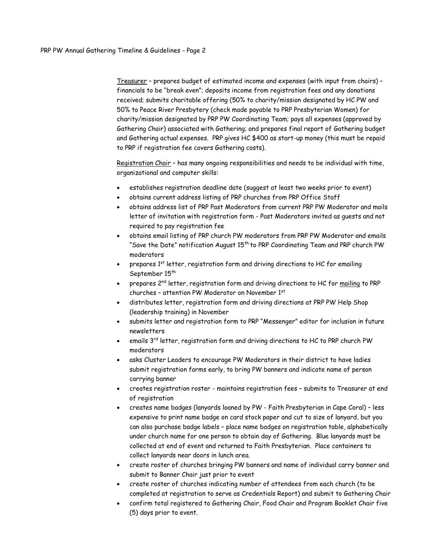Treasurer – prepares budget of estimated income and expenses (with input from chairs) – financials to be "break even"; deposits income from registration fees and any donations received; submits charitable offering (50% to charity/mission designated by HC PW and 50% to Peace River Presbytery (check made payable to PRP Presbyterian Women) for charity/mission designated by PRP PW Coordinating Team; pays all expenses (approved by Gathering Chair) associated with Gathering; and prepares final report of Gathering budget and Gathering actual expenses. PRP gives HC \$400 as start-up money (this must be repaid to PRP if registration fee covers Gathering costs).

Registration Chair – has many ongoing responsibilities and needs to be individual with time, organizational and computer skills:

- establishes registration deadline date (suggest at least two weeks prior to event)
- obtains current address listing of PRP churches from PRP Office Staff
- obtains address list of PRP Past Moderators from current PRP PW Moderator and mails letter of invitation with registration form - Past Moderators invited as guests and not required to pay registration fee
- obtains email listing of PRP church PW moderators from PRP PW Moderator and emails "Save the Date" notification August 15<sup>th</sup> to PRP Coordinating Team and PRP church PW moderators
- prepares 1<sup>st</sup> letter, registration form and driving directions to HC for emailing September 15<sup>th</sup>
- prepares 2<sup>nd</sup> letter, registration form and driving directions to HC for mailing to PRP churches – attention PW Moderator on November 1st
- distributes letter, registration form and driving directions at PRP PW Help Shop (leadership training) in November
- submits letter and registration form to PRP "Messenger" editor for inclusion in future newsletters
- emails  $3^{\text{rd}}$  letter, registration form and driving directions to HC to PRP church PW moderators
- asks Cluster Leaders to encourage PW Moderators in their district to have ladies submit registration forms early, to bring PW banners and indicate name of person carrying banner
- creates registration roster maintains registration fees submits to Treasurer at end of registration
- creates name badges (lanyards loaned by PW Faith Presbyterian in Cape Coral) less expensive to print name badge on card stock paper and cut to size of lanyard, but you can also purchase badge labels – place name badges on registration table, alphabetically under church name for one person to obtain day of Gathering. Blue lanyards must be collected at end of event and returned to Faith Presbyterian. Place containers to collect lanyards near doors in lunch area.
- create roster of churches bringing PW banners and name of individual carry banner and submit to Banner Chair just prior to event
- create roster of churches indicating number of attendees from each church (to be completed at registration to serve as Credentials Report) and submit to Gathering Chair
- confirm total registered to Gathering Chair, Food Chair and Program Booklet Chair five (5) days prior to event.